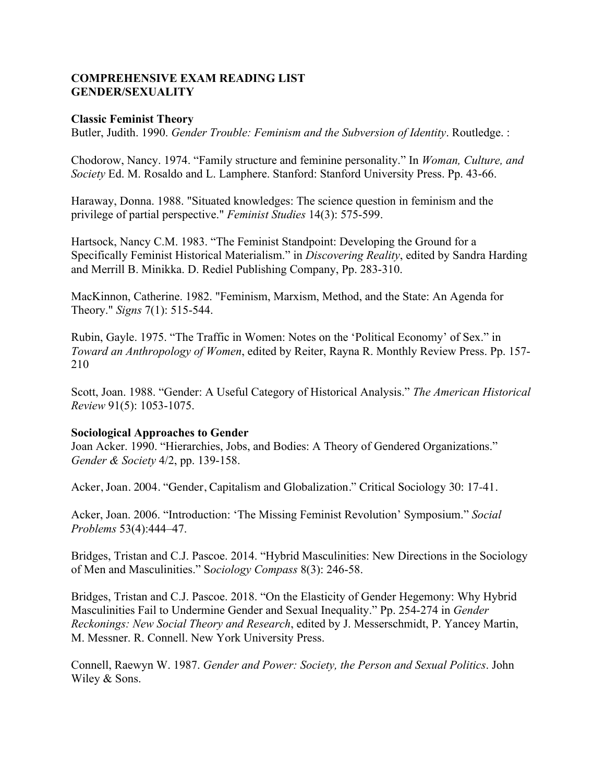# **COMPREHENSIVE EXAM READING LIST GENDER/SEXUALITY**

### **Classic Feminist Theory**

Butler, Judith. 1990. *Gender Trouble: Feminism and the Subversion of Identity*. Routledge. :

Chodorow, Nancy. 1974. "Family structure and feminine personality." In *Woman, Culture, and Society* Ed. M. Rosaldo and L. Lamphere. Stanford: Stanford University Press. Pp. 43-66.

Haraway, Donna. 1988. "Situated knowledges: The science question in feminism and the privilege of partial perspective." *Feminist Studies* 14(3): 575-599.

Hartsock, Nancy C.M. 1983. "The Feminist Standpoint: Developing the Ground for a Specifically Feminist Historical Materialism." in *Discovering Reality*, edited by Sandra Harding and Merrill B. Minikka. D. Rediel Publishing Company, Pp. 283-310.

MacKinnon, Catherine. 1982. "Feminism, Marxism, Method, and the State: An Agenda for Theory." *Signs* 7(1): 515-544.

Rubin, Gayle. 1975. "The Traffic in Women: Notes on the 'Political Economy' of Sex." in *Toward an Anthropology of Women*, edited by Reiter, Rayna R. Monthly Review Press. Pp. 157- 210

Scott, Joan. 1988. "Gender: A Useful Category of Historical Analysis." *The American Historical Review* 91(5): 1053-1075.

## **Sociological Approaches to Gender**

Joan Acker. 1990. "Hierarchies, Jobs, and Bodies: A Theory of Gendered Organizations." *Gender & Society* 4/2, pp. 139-158.

Acker, Joan. 2004. "Gender, Capitalism and Globalization." Critical Sociology 30: 17-41.

Acker, Joan. 2006. "Introduction: 'The Missing Feminist Revolution' Symposium." *Social Problems* 53(4):444–47.

Bridges, Tristan and C.J. Pascoe. 2014. "Hybrid Masculinities: New Directions in the Sociology of Men and Masculinities." S*ociology Compass* 8(3): 246-58.

Bridges, Tristan and C.J. Pascoe. 2018. "On the Elasticity of Gender Hegemony: Why Hybrid Masculinities Fail to Undermine Gender and Sexual Inequality." Pp. 254-274 in *Gender Reckonings: New Social Theory and Research*, edited by J. Messerschmidt, P. Yancey Martin, M. Messner. R. Connell. New York University Press.

Connell, Raewyn W. 1987. *Gender and Power: Society, the Person and Sexual Politics*. John Wiley & Sons.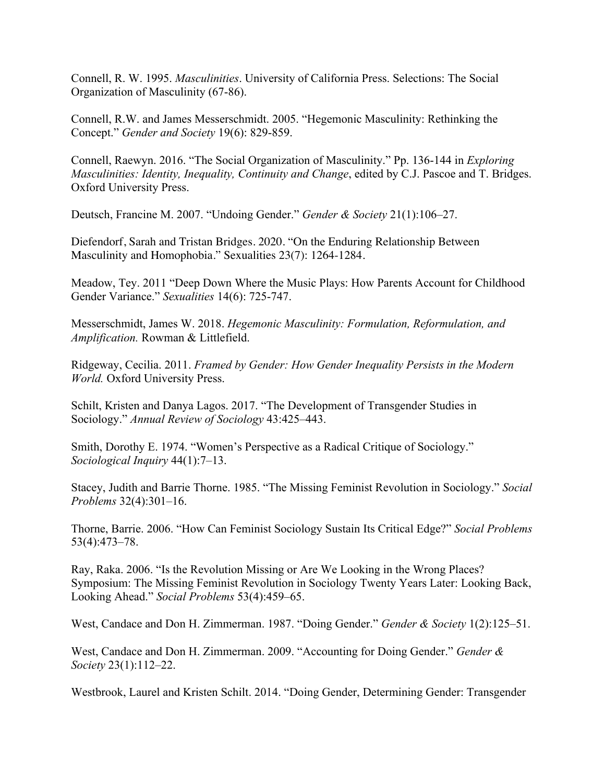Connell, R. W. 1995. *Masculinities*. University of California Press. Selections: The Social Organization of Masculinity (67-86).

Connell, R.W. and James Messerschmidt. 2005. "Hegemonic Masculinity: Rethinking the Concept." *Gender and Society* 19(6): 829-859.

Connell, Raewyn. 2016. "The Social Organization of Masculinity." Pp. 136-144 in *Exploring Masculinities: Identity, Inequality, Continuity and Change*, edited by C.J. Pascoe and T. Bridges. Oxford University Press.

Deutsch, Francine M. 2007. "Undoing Gender." *Gender & Society* 21(1):106–27.

Diefendorf, Sarah and Tristan Bridges. 2020. "On the Enduring Relationship Between Masculinity and Homophobia." Sexualities 23(7): 1264-1284.

Meadow, Tey. 2011 "Deep Down Where the Music Plays: How Parents Account for Childhood Gender Variance." *Sexualities* 14(6): 725-747.

Messerschmidt, James W. 2018. *Hegemonic Masculinity: Formulation, Reformulation, and Amplification.* Rowman & Littlefield.

Ridgeway, Cecilia. 2011. *Framed by Gender: How Gender Inequality Persists in the Modern World.* Oxford University Press.

Schilt, Kristen and Danya Lagos. 2017. "The Development of Transgender Studies in Sociology." *Annual Review of Sociology* 43:425–443.

Smith, Dorothy E. 1974. "Women's Perspective as a Radical Critique of Sociology." *Sociological Inquiry* 44(1):7–13.

Stacey, Judith and Barrie Thorne. 1985. "The Missing Feminist Revolution in Sociology." *Social Problems* 32(4):301–16.

Thorne, Barrie. 2006. "How Can Feminist Sociology Sustain Its Critical Edge?" *Social Problems* 53(4):473–78.

Ray, Raka. 2006. "Is the Revolution Missing or Are We Looking in the Wrong Places? Symposium: The Missing Feminist Revolution in Sociology Twenty Years Later: Looking Back, Looking Ahead." *Social Problems* 53(4):459–65.

West, Candace and Don H. Zimmerman. 1987. "Doing Gender." *Gender & Society* 1(2):125–51.

West, Candace and Don H. Zimmerman. 2009. "Accounting for Doing Gender." *Gender & Society* 23(1):112–22.

Westbrook, Laurel and Kristen Schilt. 2014. "Doing Gender, Determining Gender: Transgender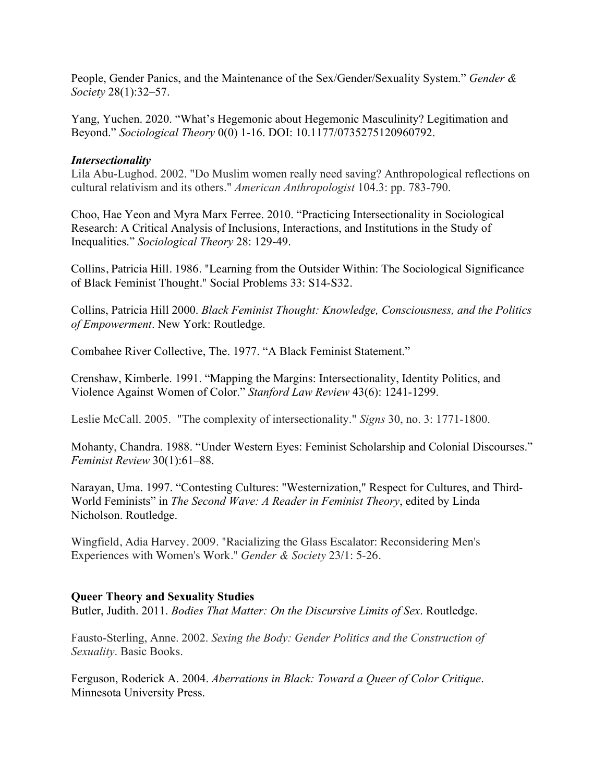People, Gender Panics, and the Maintenance of the Sex/Gender/Sexuality System." *Gender & Society* 28(1):32–57.

Yang, Yuchen. 2020. "What's Hegemonic about Hegemonic Masculinity? Legitimation and Beyond." *Sociological Theory* 0(0) 1-16. DOI: 10.1177/0735275120960792.

## *Intersectionality*

Lila Abu-Lughod. 2002. "Do Muslim women really need saving? Anthropological reflections on cultural relativism and its others." *American Anthropologist* 104.3: pp. 783-790.

Choo, Hae Yeon and Myra Marx Ferree. 2010. "Practicing Intersectionality in Sociological Research: A Critical Analysis of Inclusions, Interactions, and Institutions in the Study of Inequalities." *Sociological Theory* 28: 129-49.

Collins, Patricia Hill. 1986. "Learning from the Outsider Within: The Sociological Significance of Black Feminist Thought." Social Problems 33: S14-S32.

Collins, Patricia Hill 2000. *Black Feminist Thought: Knowledge, Consciousness, and the Politics of Empowerment*. New York: Routledge.

Combahee River Collective, The. 1977. "A Black Feminist Statement."

Crenshaw, Kimberle. 1991. "Mapping the Margins: Intersectionality, Identity Politics, and Violence Against Women of Color." *Stanford Law Review* 43(6): 1241-1299.

Leslie McCall. 2005. "The complexity of intersectionality." *Signs* 30, no. 3: 1771-1800.

Mohanty, Chandra. 1988. "Under Western Eyes: Feminist Scholarship and Colonial Discourses." *Feminist Review* 30(1):61–88.

Narayan, Uma. 1997. "Contesting Cultures: "Westernization," Respect for Cultures, and Third-World Feminists" in *The Second Wave: A Reader in Feminist Theory*, edited by Linda Nicholson. Routledge.

Wingfield, Adia Harvey. 2009. "Racializing the Glass Escalator: Reconsidering Men's Experiences with Women's Work." *Gender & Society* 23/1: 5-26.

## **Queer Theory and Sexuality Studies**

Butler, Judith. 2011. *Bodies That Matter: On the Discursive Limits of Sex*. Routledge.

Fausto-Sterling, Anne. 2002. *Sexing the Body: Gender Politics and the Construction of Sexuality*. Basic Books.

Ferguson, Roderick A. 2004. *Aberrations in Black: Toward a Queer of Color Critique*. Minnesota University Press.